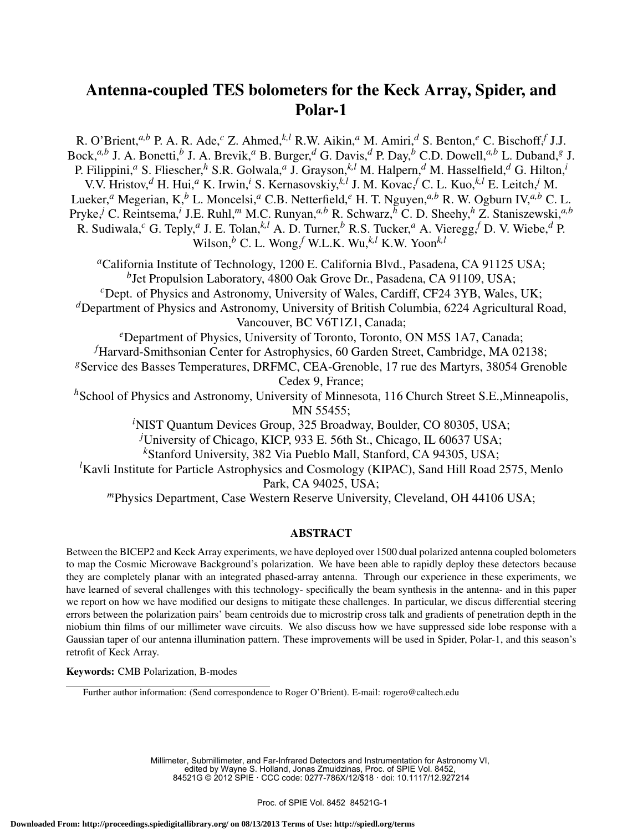# Antenna-coupled TES bolometers for the Keck Array, Spider, and Polar-1

R. O'Brient,*a,b* P. A. R. Ade,*<sup>c</sup>* Z. Ahmed,*k,l* R.W. Aikin,*<sup>a</sup>* M. Amiri,*<sup>d</sup>* S. Benton,*<sup>e</sup>* C. Bischoff,*<sup>f</sup>* J.J. Bock,*a,b* J. A. Bonetti,*<sup>b</sup>* J. A. Brevik,*<sup>a</sup>* B. Burger,*<sup>d</sup>* G. Davis,*<sup>d</sup>* P. Day,*<sup>b</sup>* C.D. Dowell,*a,b* L. Duband,*<sup>g</sup>* J. P. Filippini,*<sup>a</sup>* S. Fliescher,*<sup>h</sup>* S.R. Golwala,*<sup>a</sup>* J. Grayson,*k,l* M. Halpern,*<sup>d</sup>* M. Hasselfield,*<sup>d</sup>* G. Hilton,*<sup>i</sup>* V.V. Hristov,*<sup>d</sup>* H. Hui,*<sup>a</sup>* K. Irwin,*<sup>i</sup>* S. Kernasovskiy,*k,l* J. M. Kovac,*<sup>f</sup>* C. L. Kuo,*k,l* E. Leitch,*<sup>j</sup>* M. Lueker,*<sup>a</sup>* Megerian, K,*<sup>b</sup>* L. Moncelsi,*<sup>a</sup>* C.B. Netterfield,*<sup>e</sup>* H. T. Nguyen,*a,b* R. W. Ogburn IV,*a,b* C. L. Pryke,*<sup>j</sup>* C. Reintsema,*<sup>i</sup>* J.E. Ruhl,*<sup>m</sup>* M.C. Runyan,*a,b* R. Schwarz,*<sup>h</sup>* C. D. Sheehy,*<sup>h</sup>* Z. Staniszewski,*a,b* R. Sudiwala,*<sup>c</sup>* G. Teply,*<sup>a</sup>* J. E. Tolan,*k,l* A. D. Turner,*<sup>b</sup>* R.S. Tucker,*<sup>a</sup>* A. Vieregg,*<sup>f</sup>* D. V. Wiebe,*<sup>d</sup>* P. Wilson,*<sup>b</sup>* C. L. Wong,*<sup>f</sup>* W.L.K. Wu,*k,l* K.W. Yoon*k,l <sup>a</sup>*California Institute of Technology, 1200 E. California Blvd., Pasadena, CA 91125 USA; *b*Jet Propulsion Laboratory, 4800 Oak Grove Dr., Pasadena, CA 91109, USA;<br><sup>*c*</sup>Dept. of Physics and Astronomy, University of Wales, Cardiff, CF24 3YB, Wales, UK; *<sup>d</sup>*Department of Physics and Astronomy, University of British Columbia, 6224 Agricultural Road, Vancouver, BC V6T1Z1, Canada;<br><sup>*e*</sup>Department of Physics, University of Toronto, Toronto, ON M5S 1A7, Canada; *f* Harvard-Smithsonian Center for Astrophysics, 60 Garden Street, Cambridge, MA 02138; <sup>g</sup>Service des Basses Temperatures, DRFMC, CEA-Grenoble, 17 rue des Martyrs, 38054 Grenoble Cedex 9, France; <sup>h</sup>School of Physics and Astronomy, University of Minnesota, 116 Church Street S.E., Minneapolis, MN 55455; *i* NIST Quantum Devices Group, 325 Broadway, Boulder, CO 80305, USA; *j* University of Chicago, KICP, 933 E. 56th St., Chicago, IL 60637 USA; *<sup>k</sup>*Stanford University, 382 Via Pueblo Mall, Stanford, CA 94305, USA; <sup>*l*</sup>Kavli Institute for Particle Astrophysics and Cosmology (KIPAC), Sand Hill Road 2575, Menlo Park, CA 94025, USA;<br><sup>*m*</sup>Physics Department, Case Western Reserve University, Cleveland, OH 44106 USA;

# ABSTRACT

Between the BICEP2 and Keck Array experiments, we have deployed over 1500 dual polarized antenna coupled bolometers to map the Cosmic Microwave Background's polarization. We have been able to rapidly deploy these detectors because they are completely planar with an integrated phased-array antenna. Through our experience in these experiments, we have learned of several challenges with this technology- specifically the beam synthesis in the antenna- and in this paper we report on how we have modified our designs to mitigate these challenges. In particular, we discus differential steering errors between the polarization pairs' beam centroids due to microstrip cross talk and gradients of penetration depth in the niobium thin films of our millimeter wave circuits. We also discuss how we have suppressed side lobe response with a Gaussian taper of our antenna illumination pattern. These improvements will be used in Spider, Polar-1, and this season's retrofit of Keck Array.

Keywords: CMB Polarization, B-modes

Millimeter, Submillimeter, and Far-Infrared Detectors and Instrumentation for Astronomy VI, edited by Wayne S. Holland, Jonas Zmuidzinas, Proc. of SPIE Vol. 8452, 84521G © 2012 SPIE · CCC code: 0277-786X/12/\$18 · doi: 10.1117/12.927214

Further author information: (Send correspondence to Roger O'Brient). E-mail: rogero@caltech.edu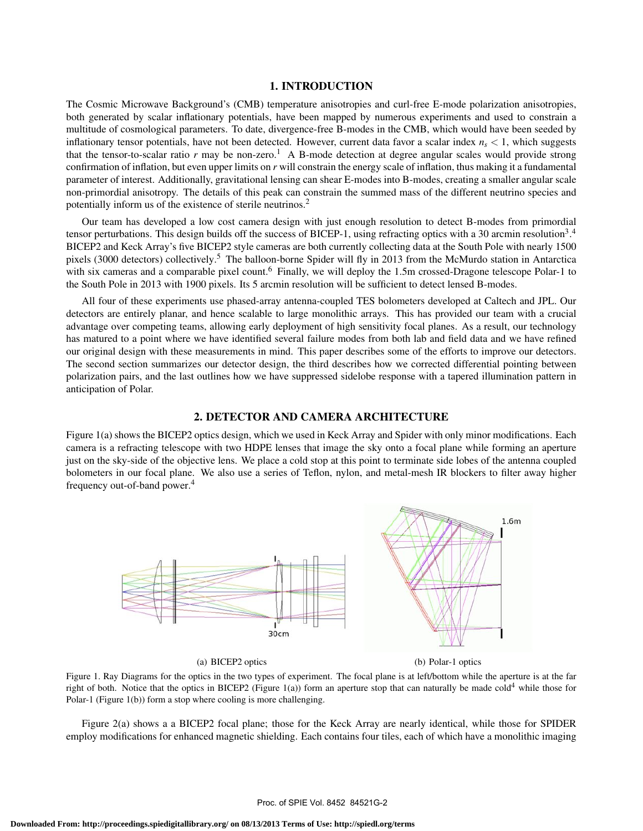# 1. INTRODUCTION

The Cosmic Microwave Background's (CMB) temperature anisotropies and curl-free E-mode polarization anisotropies, both generated by scalar inflationary potentials, have been mapped by numerous experiments and used to constrain a multitude of cosmological parameters. To date, divergence-free B-modes in the CMB, which would have been seeded by inflationary tensor potentials, have not been detected. However, current data favor a scalar index  $n_s < 1$ , which suggests that the tensor-to-scalar ratio  $r$  may be non-zero.<sup>1</sup> A B-mode detection at degree angular scales would provide strong confirmation of inflation, but even upper limits on *r* will constrain the energy scale of inflation, thus making it a fundamental parameter of interest. Additionally, gravitational lensing can shear E-modes into B-modes, creating a smaller angular scale non-primordial anisotropy. The details of this peak can constrain the summed mass of the different neutrino species and potentially inform us of the existence of sterile neutrinos.<sup>2</sup>

Our team has developed a low cost camera design with just enough resolution to detect B-modes from primordial tensor perturbations. This design builds off the success of BICEP-1, using refracting optics with a 30 arcmin resolution<sup>3</sup>.<sup>4</sup> BICEP2 and Keck Array's five BICEP2 style cameras are both currently collecting data at the South Pole with nearly 1500 pixels (3000 detectors) collectively.<sup>5</sup> The balloon-borne Spider will fly in 2013 from the McMurdo station in Antarctica with six cameras and a comparable pixel count.<sup>6</sup> Finally, we will deploy the 1.5m crossed-Dragone telescope Polar-1 to the South Pole in 2013 with 1900 pixels. Its 5 arcmin resolution will be sufficient to detect lensed B-modes.

All four of these experiments use phased-array antenna-coupled TES bolometers developed at Caltech and JPL. Our detectors are entirely planar, and hence scalable to large monolithic arrays. This has provided our team with a crucial advantage over competing teams, allowing early deployment of high sensitivity focal planes. As a result, our technology has matured to a point where we have identified several failure modes from both lab and field data and we have refined our original design with these measurements in mind. This paper describes some of the efforts to improve our detectors. The second section summarizes our detector design, the third describes how we corrected differential pointing between polarization pairs, and the last outlines how we have suppressed sidelobe response with a tapered illumination pattern in anticipation of Polar.

### 2. DETECTOR AND CAMERA ARCHITECTURE

Figure 1(a) shows the BICEP2 optics design, which we used in Keck Array and Spider with only minor modifications. Each camera is a refracting telescope with two HDPE lenses that image the sky onto a focal plane while forming an aperture just on the sky-side of the objective lens. We place a cold stop at this point to terminate side lobes of the antenna coupled bolometers in our focal plane. We also use a series of Teflon, nylon, and metal-mesh IR blockers to filter away higher frequency out-of-band power.<sup>4</sup>



(a) BICEP2 optics (b) Polar-1 optics

Figure 1. Ray Diagrams for the optics in the two types of experiment. The focal plane is at left/bottom while the aperture is at the far right of both. Notice that the optics in BICEP2 (Figure 1(a)) form an aperture stop that can naturally be made cold<sup>4</sup> while those for Polar-1 (Figure 1(b)) form a stop where cooling is more challenging.

Figure 2(a) shows a a BICEP2 focal plane; those for the Keck Array are nearly identical, while those for SPIDER employ modifications for enhanced magnetic shielding. Each contains four tiles, each of which have a monolithic imaging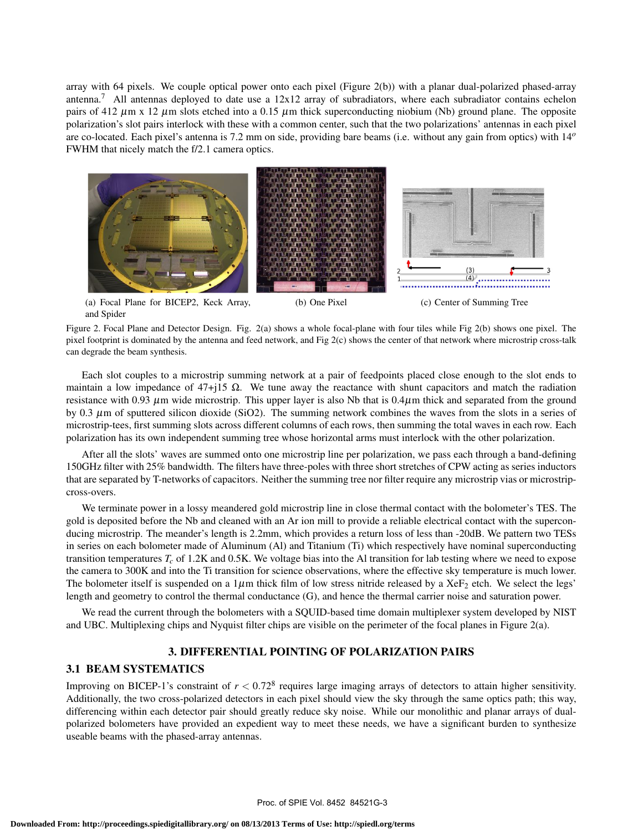array with 64 pixels. We couple optical power onto each pixel (Figure 2(b)) with a planar dual-polarized phased-array antenna.<sup>7</sup> All antennas deployed to date use a  $12x12$  array of subradiators, where each subradiator contains echelon pairs of 412  $\mu$ m x 12  $\mu$ m slots etched into a 0.15  $\mu$ m thick superconducting niobium (Nb) ground plane. The opposite polarization's slot pairs interlock with these with a common center, such that the two polarizations' antennas in each pixel are co-located. Each pixel's antenna is 7.2 mm on side, providing bare beams (i.e. without any gain from optics) with 14*<sup>o</sup>* FWHM that nicely match the f/2.1 camera optics.



(a) Focal Plane for BICEP2, Keck Array, and Spider (b) One Pixel (c) Center of Summing Tree

Figure 2. Focal Plane and Detector Design. Fig. 2(a) shows a whole focal-plane with four tiles while Fig 2(b) shows one pixel. The pixel footprint is dominated by the antenna and feed network, and Fig 2(c) shows the center of that network where microstrip cross-talk can degrade the beam synthesis.

Each slot couples to a microstrip summing network at a pair of feedpoints placed close enough to the slot ends to maintain a low impedance of 47+j15  $\Omega$ . We tune away the reactance with shunt capacitors and match the radiation resistance with 0.93  $\mu$ m wide microstrip. This upper layer is also Nb that is 0.4 $\mu$ m thick and separated from the ground by 0.3  $\mu$ m of sputtered silicon dioxide (SiO2). The summing network combines the waves from the slots in a series of microstrip-tees, first summing slots across different columns of each rows, then summing the total waves in each row. Each polarization has its own independent summing tree whose horizontal arms must interlock with the other polarization.

After all the slots' waves are summed onto one microstrip line per polarization, we pass each through a band-defining 150GHz filter with 25% bandwidth. The filters have three-poles with three short stretches of CPW acting as series inductors that are separated by T-networks of capacitors. Neither the summing tree nor filter require any microstrip vias or microstripcross-overs.

We terminate power in a lossy meandered gold microstrip line in close thermal contact with the bolometer's TES. The gold is deposited before the Nb and cleaned with an Ar ion mill to provide a reliable electrical contact with the superconducing microstrip. The meander's length is 2.2mm, which provides a return loss of less than -20dB. We pattern two TESs in series on each bolometer made of Aluminum (Al) and Titanium (Ti) which respectively have nominal superconducting transition temperatures  $T_c$  of 1.2K and 0.5K. We voltage bias into the Al transition for lab testing where we need to expose the camera to 300K and into the Ti transition for science observations, where the effective sky temperature is much lower. The bolometer itself is suspended on a 1 $\mu$ m thick film of low stress nitride released by a XeF<sub>2</sub> etch. We select the legs' length and geometry to control the thermal conductance (G), and hence the thermal carrier noise and saturation power.

We read the current through the bolometers with a SQUID-based time domain multiplexer system developed by NIST and UBC. Multiplexing chips and Nyquist filter chips are visible on the perimeter of the focal planes in Figure 2(a).

# 3. DIFFERENTIAL POINTING OF POLARIZATION PAIRS

# 3.1 BEAM SYSTEMATICS

Improving on BICEP-1's constraint of  $r < 0.72<sup>8</sup>$  requires large imaging arrays of detectors to attain higher sensitivity. Additionally, the two cross-polarized detectors in each pixel should view the sky through the same optics path; this way, differencing within each detector pair should greatly reduce sky noise. While our monolithic and planar arrays of dualpolarized bolometers have provided an expedient way to meet these needs, we have a significant burden to synthesize useable beams with the phased-array antennas.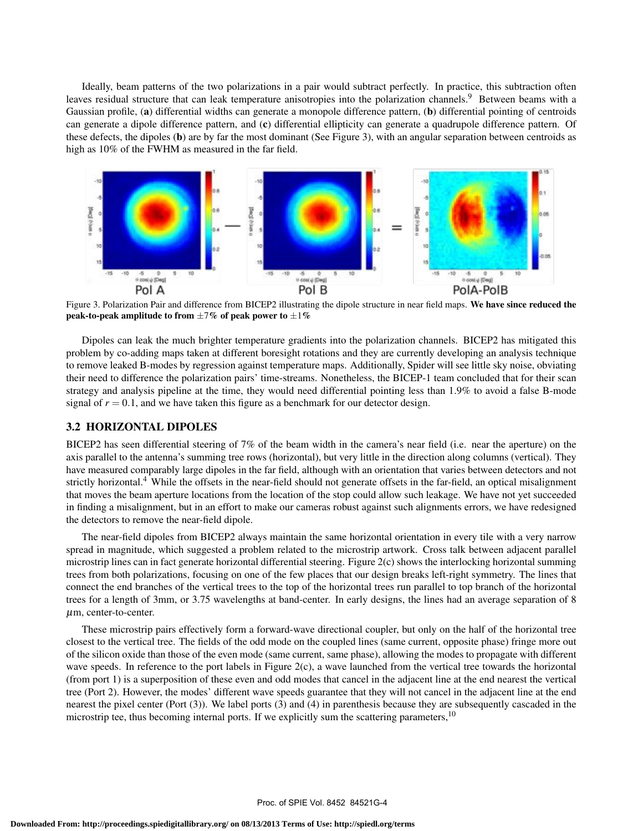Ideally, beam patterns of the two polarizations in a pair would subtract perfectly. In practice, this subtraction often leaves residual structure that can leak temperature anisotropies into the polarization channels.<sup>9</sup> Between beams with a Gaussian profile, (a) differential widths can generate a monopole difference pattern, (b) differential pointing of centroids can generate a dipole difference pattern, and (c) differential ellipticity can generate a quadrupole difference pattern. Of these defects, the dipoles (b) are by far the most dominant (See Figure 3), with an angular separation between centroids as high as 10% of the FWHM as measured in the far field.



Figure 3. Polarization Pair and difference from BICEP2 illustrating the dipole structure in near field maps. We have since reduced the peak-to-peak amplitude to from  $\pm 7\%$  of peak power to  $\pm 1\%$ 

Dipoles can leak the much brighter temperature gradients into the polarization channels. BICEP2 has mitigated this problem by co-adding maps taken at different boresight rotations and they are currently developing an analysis technique to remove leaked B-modes by regression against temperature maps. Additionally, Spider will see little sky noise, obviating their need to difference the polarization pairs' time-streams. Nonetheless, the BICEP-1 team concluded that for their scan strategy and analysis pipeline at the time, they would need differential pointing less than 1.9% to avoid a false B-mode signal of  $r = 0.1$ , and we have taken this figure as a benchmark for our detector design.

# 3.2 HORIZONTAL DIPOLES

BICEP2 has seen differential steering of 7% of the beam width in the camera's near field (i.e. near the aperture) on the axis parallel to the antenna's summing tree rows (horizontal), but very little in the direction along columns (vertical). They have measured comparably large dipoles in the far field, although with an orientation that varies between detectors and not strictly horizontal.<sup>4</sup> While the offsets in the near-field should not generate offsets in the far-field, an optical misalignment that moves the beam aperture locations from the location of the stop could allow such leakage. We have not yet succeeded in finding a misalignment, but in an effort to make our cameras robust against such alignments errors, we have redesigned the detectors to remove the near-field dipole.

The near-field dipoles from BICEP2 always maintain the same horizontal orientation in every tile with a very narrow spread in magnitude, which suggested a problem related to the microstrip artwork. Cross talk between adjacent parallel microstrip lines can in fact generate horizontal differential steering. Figure 2(c) shows the interlocking horizontal summing trees from both polarizations, focusing on one of the few places that our design breaks left-right symmetry. The lines that connect the end branches of the vertical trees to the top of the horizontal trees run parallel to top branch of the horizontal trees for a length of 3mm, or 3.75 wavelengths at band-center. In early designs, the lines had an average separation of 8  $\mu$ m, center-to-center.

These microstrip pairs effectively form a forward-wave directional coupler, but only on the half of the horizontal tree closest to the vertical tree. The fields of the odd mode on the coupled lines (same current, opposite phase) fringe more out of the silicon oxide than those of the even mode (same current, same phase), allowing the modes to propagate with different wave speeds. In reference to the port labels in Figure 2(c), a wave launched from the vertical tree towards the horizontal (from port 1) is a superposition of these even and odd modes that cancel in the adjacent line at the end nearest the vertical tree (Port 2). However, the modes' different wave speeds guarantee that they will not cancel in the adjacent line at the end nearest the pixel center (Port (3)). We label ports (3) and (4) in parenthesis because they are subsequently cascaded in the microstrip tee, thus becoming internal ports. If we explicitly sum the scattering parameters,  $10$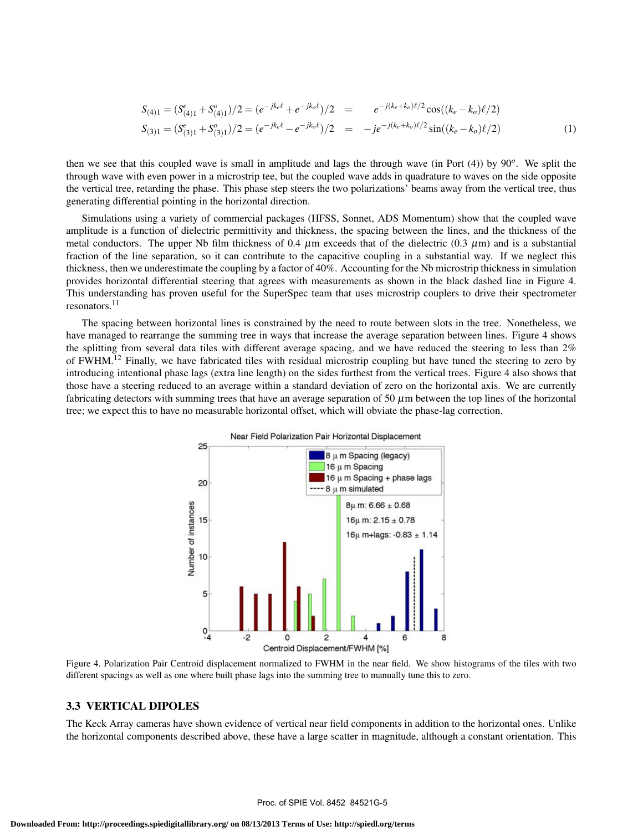$$
S_{(4)1} = (S_{(4)1}^e + S_{(4)1}^o)/2 = (e^{-jk_e\ell} + e^{-jk_o\ell})/2 = e^{-j(k_e + k_o)\ell/2} \cos((k_e - k_o)\ell/2)
$$
  
\n
$$
S_{(3)1} = (S_{(3)1}^e + S_{(3)1}^o)/2 = (e^{-jk_e\ell} - e^{-jk_o\ell})/2 = -je^{-j(k_e + k_o)\ell/2} \sin((k_e - k_o)\ell/2)
$$
\n(1)

then we see that this coupled wave is small in amplitude and lags the through wave (in Port (4)) by 90*o*. We split the through wave with even power in a microstrip tee, but the coupled wave adds in quadrature to waves on the side opposite the vertical tree, retarding the phase. This phase step steers the two polarizations' beams away from the vertical tree, thus generating differential pointing in the horizontal direction.

Simulations using a variety of commercial packages (HFSS, Sonnet, ADS Momentum) show that the coupled wave amplitude is a function of dielectric permittivity and thickness, the spacing between the lines, and the thickness of the metal conductors. The upper Nb film thickness of 0.4  $\mu$ m exceeds that of the dielectric (0.3  $\mu$ m) and is a substantial fraction of the line separation, so it can contribute to the capacitive coupling in a substantial way. If we neglect this thickness, then we underestimate the coupling by a factor of 40%. Accounting for the Nb microstrip thickness in simulation provides horizontal differential steering that agrees with measurements as shown in the black dashed line in Figure 4. This understanding has proven useful for the SuperSpec team that uses microstrip couplers to drive their spectrometer resonators.<sup>11</sup>

The spacing between horizontal lines is constrained by the need to route between slots in the tree. Nonetheless, we have managed to rearrange the summing tree in ways that increase the average separation between lines. Figure 4 shows the splitting from several data tiles with different average spacing, and we have reduced the steering to less than 2% of FWHM.<sup>12</sup> Finally, we have fabricated tiles with residual microstrip coupling but have tuned the steering to zero by introducing intentional phase lags (extra line length) on the sides furthest from the vertical trees. Figure 4 also shows that those have a steering reduced to an average within a standard deviation of zero on the horizontal axis. We are currently fabricating detectors with summing trees that have an average separation of 50  $\mu$ m between the top lines of the horizontal tree; we expect this to have no measurable horizontal offset, which will obviate the phase-lag correction.



Figure 4. Polarization Pair Centroid displacement normalized to FWHM in the near field. We show histograms of the tiles with two different spacings as well as one where built phase lags into the summing tree to manually tune this to zero.

### 3.3 VERTICAL DIPOLES

The Keck Array cameras have shown evidence of vertical near field components in addition to the horizontal ones. Unlike the horizontal components described above, these have a large scatter in magnitude, although a constant orientation. This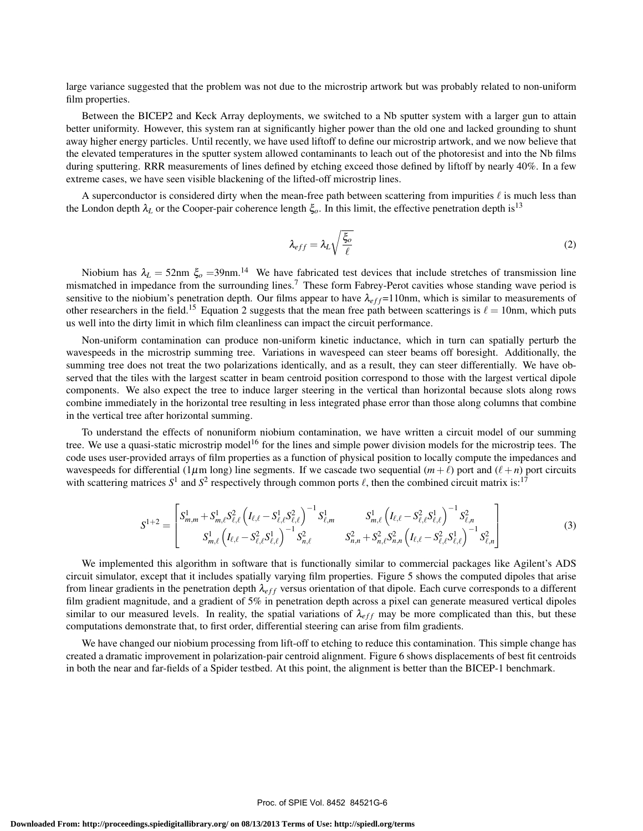large variance suggested that the problem was not due to the microstrip artwork but was probably related to non-uniform film properties.

Between the BICEP2 and Keck Array deployments, we switched to a Nb sputter system with a larger gun to attain better uniformity. However, this system ran at significantly higher power than the old one and lacked grounding to shunt away higher energy particles. Until recently, we have used liftoff to define our microstrip artwork, and we now believe that the elevated temperatures in the sputter system allowed contaminants to leach out of the photoresist and into the Nb films during sputtering. RRR measurements of lines defined by etching exceed those defined by liftoff by nearly 40%. In a few extreme cases, we have seen visible blackening of the lifted-off microstrip lines.

A superconductor is considered dirty when the mean-free path between scattering from impurities  $\ell$  is much less than the London depth  $\lambda_L$  or the Cooper-pair coherence length  $\xi_o$ . In this limit, the effective penetration depth is<sup>13</sup>

$$
\lambda_{eff} = \lambda_L \sqrt{\frac{\xi_o}{\ell}} \tag{2}
$$

Niobium has  $\lambda_L = 52$ nm  $\xi_o = 39$ nm.<sup>14</sup> We have fabricated test devices that include stretches of transmission line mismatched in impedance from the surrounding lines.<sup>7</sup> These form Fabrey-Perot cavities whose standing wave period is sensitive to the niobium's penetration depth. Our films appear to have  $\lambda_{eff}$ =110nm, which is similar to measurements of other researchers in the field.<sup>15</sup> Equation 2 suggests that the mean free path between scatterings is  $\ell = 10$ nm, which puts us well into the dirty limit in which film cleanliness can impact the circuit performance.

Non-uniform contamination can produce non-uniform kinetic inductance, which in turn can spatially perturb the wavespeeds in the microstrip summing tree. Variations in wavespeed can steer beams off boresight. Additionally, the summing tree does not treat the two polarizations identically, and as a result, they can steer differentially. We have observed that the tiles with the largest scatter in beam centroid position correspond to those with the largest vertical dipole components. We also expect the tree to induce larger steering in the vertical than horizontal because slots along rows combine immediately in the horizontal tree resulting in less integrated phase error than those along columns that combine in the vertical tree after horizontal summing.

To understand the effects of nonuniform niobium contamination, we have written a circuit model of our summing tree. We use a quasi-static microstrip model<sup>16</sup> for the lines and simple power division models for the microstrip tees. The code uses user-provided arrays of film properties as a function of physical position to locally compute the impedances and wavespeeds for differential (1µm long) line segments. If we cascade two sequential  $(m+\ell)$  port and  $(\ell+n)$  port circuits with scattering matrices  $S^1$  and  $S^2$  respectively through common ports  $\ell$ , then the combined circuit matrix is:<sup>17</sup>

$$
S^{1+2} = \begin{bmatrix} S_{m,m}^1 + S_{m,\ell}^1 S_{\ell,\ell}^2 \left( I_{\ell,\ell} - S_{\ell,\ell}^1 S_{\ell,\ell}^2 \right)^{-1} S_{\ell,m}^1 & S_{m,\ell}^1 \left( I_{\ell,\ell} - S_{\ell,\ell}^2 S_{\ell,\ell}^1 \right)^{-1} S_{\ell,n}^2 \\ S_{m,\ell}^1 \left( I_{\ell,\ell} - S_{\ell,\ell}^2 S_{\ell,\ell}^1 \right)^{-1} S_{n,\ell}^2 & S_{n,n}^2 + S_{n,\ell}^2 S_{n,n}^2 \left( I_{\ell,\ell} - S_{\ell,\ell}^2 S_{\ell,\ell}^1 \right)^{-1} S_{\ell,n}^2 \end{bmatrix}
$$
(3)

We implemented this algorithm in software that is functionally similar to commercial packages like Agilent's ADS circuit simulator, except that it includes spatially varying film properties. Figure 5 shows the computed dipoles that arise from linear gradients in the penetration depth λ*eff* versus orientation of that dipole. Each curve corresponds to a different film gradient magnitude, and a gradient of 5% in penetration depth across a pixel can generate measured vertical dipoles similar to our measured levels. In reality, the spatial variations of  $\lambda_{eff}$  may be more complicated than this, but these computations demonstrate that, to first order, differential steering can arise from film gradients.

We have changed our niobium processing from lift-off to etching to reduce this contamination. This simple change has created a dramatic improvement in polarization-pair centroid alignment. Figure 6 shows displacements of best fit centroids in both the near and far-fields of a Spider testbed. At this point, the alignment is better than the BICEP-1 benchmark.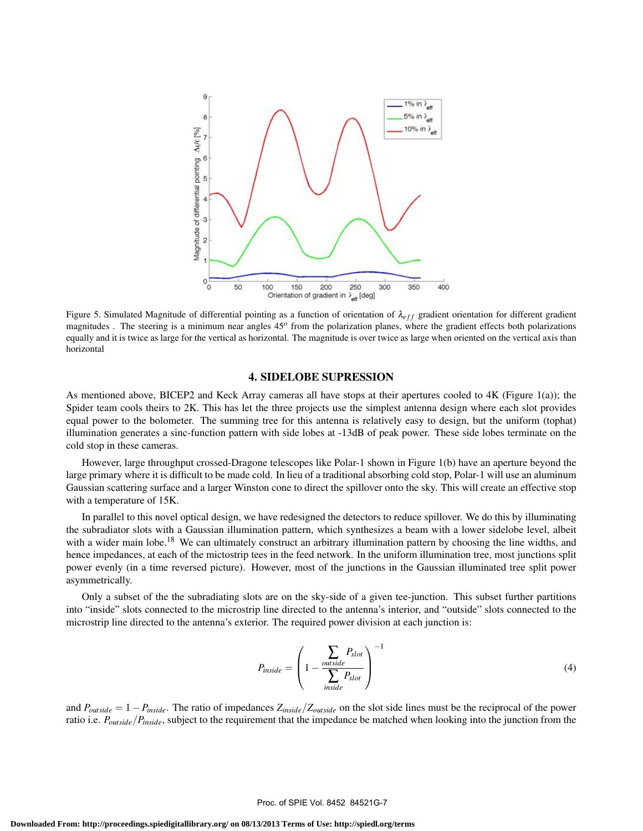

Figure 5. Simulated Magnitude of differential pointing as a function of orientation of λ*eff* gradient orientation for different gradient magnitudes . The steering is a minimum near angles 45*<sup>o</sup>* from the polarization planes, where the gradient effects both polarizations equally and it is twice as large for the vertical as horizontal. The magnitude is over twice as large when oriented on the vertical axis than horizontal

#### 4. SIDELOBE SUPRESSION

As mentioned above, BICEP2 and Keck Array cameras all have stops at their apertures cooled to 4K (Figure 1(a)); the Spider team cools theirs to 2K. This has let the three projects use the simplest antenna design where each slot provides equal power to the bolometer. The summing tree for this antenna is relatively easy to design, but the uniform (tophat) illumination generates a sinc-function pattern with side lobes at -13dB of peak power. These side lobes terminate on the cold stop in these cameras.

However, large throughput crossed-Dragone telescopes like Polar-1 shown in Figure 1(b) have an aperture beyond the large primary where it is difficult to be made cold. In lieu of a traditional absorbing cold stop, Polar-1 will use an aluminum Gaussian scattering surface and a larger Winston cone to direct the spillover onto the sky. This will create an effective stop with a temperature of 15K.

In parallel to this novel optical design, we have redesigned the detectors to reduce spillover. We do this by illuminating the subradiator slots with a Gaussian illumination pattern, which synthesizes a beam with a lower sidelobe level, albeit with a wider main lobe.<sup>18</sup> We can ultimately construct an arbitrary illumination pattern by choosing the line widths, and hence impedances, at each of the mictostrip tees in the feed network. In the uniform illumination tree, most junctions split power evenly (in a time reversed picture). However, most of the junctions in the Gaussian illuminated tree split power asymmetrically.

Only a subset of the the subradiating slots are on the sky-side of a given tee-junction. This subset further partitions into "inside" slots connected to the microstrip line directed to the antenna's interior, and "outside" slots connected to the microstrip line directed to the antenna's exterior. The required power division at each junction is:

$$
P_{inside} = \left(1 - \frac{\sum_{outside} P_{slot}}{\sum_{inside} P_{slot}}\right)^{-1}
$$
(4)

and *Poutside* = 1−*Pinside*. The ratio of impedances *Zinside*/*Zoutside* on the slot side lines must be the reciprocal of the power ratio i.e. *Poutside*/*Pinside*, subject to the requirement that the impedance be matched when looking into the junction from the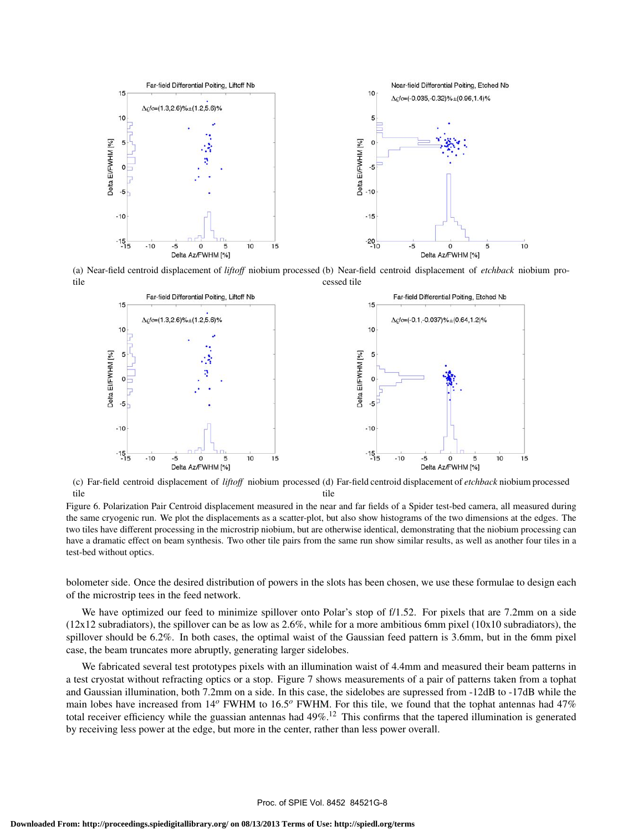

(a) Near-field centroid displacement of *liftoff* niobium processed (b) Near-field centroid displacement of *etchback* niobium protile cessed tile



(c) Far-field centroid displacement of *liftoff* niobium processed (d) Far-field centroid displacement of *etchback* niobium processed tile tile

Figure 6. Polarization Pair Centroid displacement measured in the near and far fields of a Spider test-bed camera, all measured during the same cryogenic run. We plot the displacements as a scatter-plot, but also show histograms of the two dimensions at the edges. The two tiles have different processing in the microstrip niobium, but are otherwise identical, demonstrating that the niobium processing can have a dramatic effect on beam synthesis. Two other tile pairs from the same run show similar results, as well as another four tiles in a test-bed without optics.

bolometer side. Once the desired distribution of powers in the slots has been chosen, we use these formulae to design each of the microstrip tees in the feed network.

We have optimized our feed to minimize spillover onto Polar's stop of f/1.52. For pixels that are 7.2mm on a side  $(12x12$  subradiators), the spillover can be as low as 2.6%, while for a more ambitious 6mm pixel  $(10x10$  subradiators), the spillover should be 6.2%. In both cases, the optimal waist of the Gaussian feed pattern is 3.6mm, but in the 6mm pixel case, the beam truncates more abruptly, generating larger sidelobes.

We fabricated several test prototypes pixels with an illumination waist of 4.4mm and measured their beam patterns in a test cryostat without refracting optics or a stop. Figure 7 shows measurements of a pair of patterns taken from a tophat and Gaussian illumination, both 7.2mm on a side. In this case, the sidelobes are supressed from -12dB to -17dB while the main lobes have increased from 14*<sup>o</sup>* FWHM to 16.5*<sup>o</sup>* FWHM. For this tile, we found that the tophat antennas had 47% total receiver efficiency while the guassian antennas had  $49\%$ .<sup>12</sup> This confirms that the tapered illumination is generated by receiving less power at the edge, but more in the center, rather than less power overall.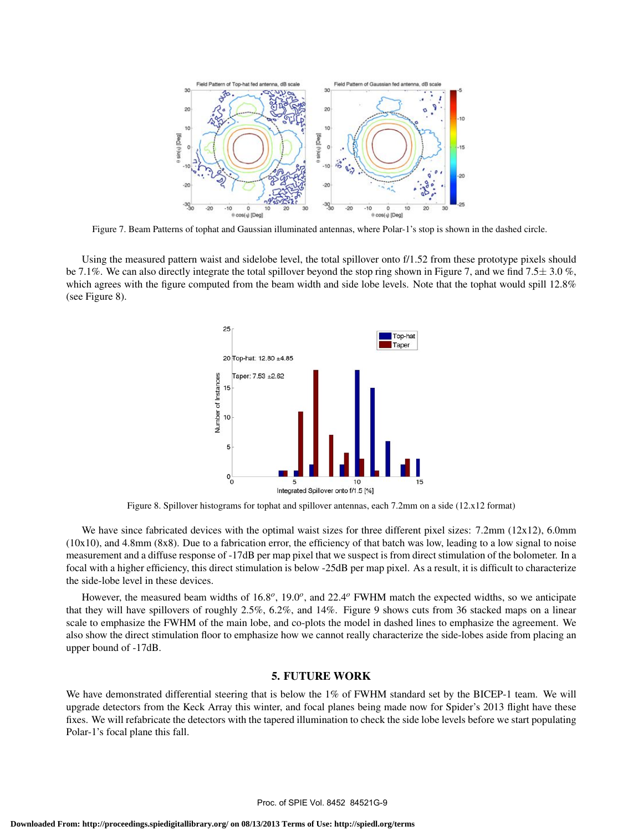

Figure 7. Beam Patterns of tophat and Gaussian illuminated antennas, where Polar-1's stop is shown in the dashed circle.

Using the measured pattern waist and sidelobe level, the total spillover onto f/1.52 from these prototype pixels should be 7.1%. We can also directly integrate the total spillover beyond the stop ring shown in Figure 7, and we find 7.5 $\pm$  3.0%, which agrees with the figure computed from the beam width and side lobe levels. Note that the tophat would spill 12.8% (see Figure 8).



Figure 8. Spillover histograms for tophat and spillover antennas, each 7.2mm on a side (12.x12 format)

We have since fabricated devices with the optimal waist sizes for three different pixel sizes: 7.2mm (12x12), 6.0mm (10x10), and 4.8mm (8x8). Due to a fabrication error, the efficiency of that batch was low, leading to a low signal to noise measurement and a diffuse response of -17dB per map pixel that we suspect is from direct stimulation of the bolometer. In a focal with a higher efficiency, this direct stimulation is below -25dB per map pixel. As a result, it is difficult to characterize the side-lobe level in these devices.

However, the measured beam widths of 16.8*o*, 19.0*o*, and 22.4*<sup>o</sup>* FWHM match the expected widths, so we anticipate that they will have spillovers of roughly 2.5%, 6.2%, and 14%. Figure 9 shows cuts from 36 stacked maps on a linear scale to emphasize the FWHM of the main lobe, and co-plots the model in dashed lines to emphasize the agreement. We also show the direct stimulation floor to emphasize how we cannot really characterize the side-lobes aside from placing an upper bound of -17dB.

#### 5. FUTURE WORK

We have demonstrated differential steering that is below the 1% of FWHM standard set by the BICEP-1 team. We will upgrade detectors from the Keck Array this winter, and focal planes being made now for Spider's 2013 flight have these fixes. We will refabricate the detectors with the tapered illumination to check the side lobe levels before we start populating Polar-1's focal plane this fall.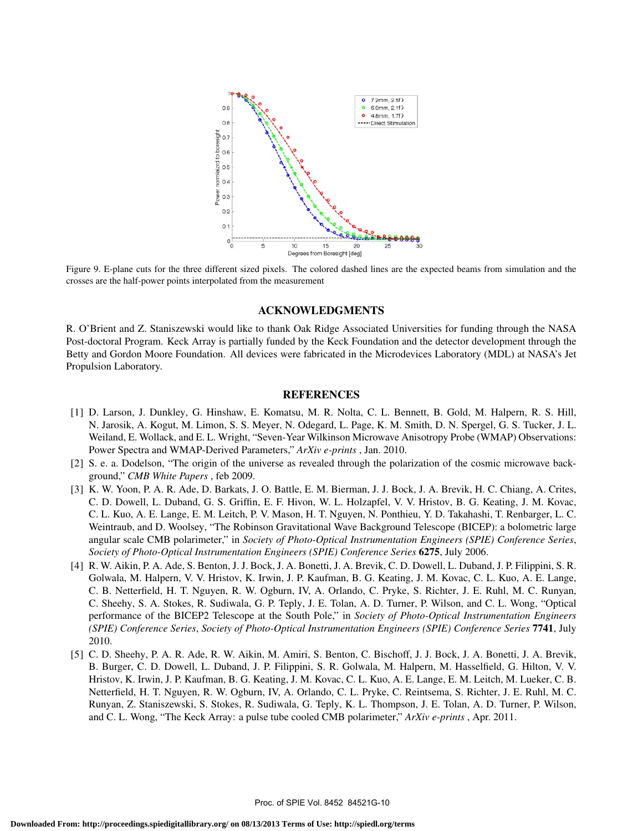

Figure 9. E-plane cuts for the three different sized pixels. The colored dashed lines are the expected beams from simulation and the crosses are the half-power points interpolated from the measurement

## ACKNOWLEDGMENTS

R. O'Brient and Z. Staniszewski would like to thank Oak Ridge Associated Universities for funding through the NASA Post-doctoral Program. Keck Array is partially funded by the Keck Foundation and the detector development through the Betty and Gordon Moore Foundation. All devices were fabricated in the Microdevices Laboratory (MDL) at NASA's Jet Propulsion Laboratory.

#### REFERENCES

- [1] D. Larson, J. Dunkley, G. Hinshaw, E. Komatsu, M. R. Nolta, C. L. Bennett, B. Gold, M. Halpern, R. S. Hill, N. Jarosik, A. Kogut, M. Limon, S. S. Meyer, N. Odegard, L. Page, K. M. Smith, D. N. Spergel, G. S. Tucker, J. L. Weiland, E. Wollack, and E. L. Wright, "Seven-Year Wilkinson Microwave Anisotropy Probe (WMAP) Observations: Power Spectra and WMAP-Derived Parameters," *ArXiv e-prints* , Jan. 2010.
- [2] S. e. a. Dodelson, "The origin of the universe as revealed through the polarization of the cosmic microwave background," *CMB White Papers* , feb 2009.
- [3] K. W. Yoon, P. A. R. Ade, D. Barkats, J. O. Battle, E. M. Bierman, J. J. Bock, J. A. Brevik, H. C. Chiang, A. Crites, C. D. Dowell, L. Duband, G. S. Griffin, E. F. Hivon, W. L. Holzapfel, V. V. Hristov, B. G. Keating, J. M. Kovac, C. L. Kuo, A. E. Lange, E. M. Leitch, P. V. Mason, H. T. Nguyen, N. Ponthieu, Y. D. Takahashi, T. Renbarger, L. C. Weintraub, and D. Woolsey, "The Robinson Gravitational Wave Background Telescope (BICEP): a bolometric large angular scale CMB polarimeter," in *Society of Photo-Optical Instrumentation Engineers (SPIE) Conference Series*, *Society of Photo-Optical Instrumentation Engineers (SPIE) Conference Series* 6275, July 2006.
- [4] R. W. Aikin, P. A. Ade, S. Benton, J. J. Bock, J. A. Bonetti, J. A. Brevik, C. D. Dowell, L. Duband, J. P. Filippini, S. R. Golwala, M. Halpern, V. V. Hristov, K. Irwin, J. P. Kaufman, B. G. Keating, J. M. Kovac, C. L. Kuo, A. E. Lange, C. B. Netterfield, H. T. Nguyen, R. W. Ogburn, IV, A. Orlando, C. Pryke, S. Richter, J. E. Ruhl, M. C. Runyan, C. Sheehy, S. A. Stokes, R. Sudiwala, G. P. Teply, J. E. Tolan, A. D. Turner, P. Wilson, and C. L. Wong, "Optical performance of the BICEP2 Telescope at the South Pole," in *Society of Photo-Optical Instrumentation Engineers (SPIE) Conference Series*, *Society of Photo-Optical Instrumentation Engineers (SPIE) Conference Series* 7741, July 2010.
- [5] C. D. Sheehy, P. A. R. Ade, R. W. Aikin, M. Amiri, S. Benton, C. Bischoff, J. J. Bock, J. A. Bonetti, J. A. Brevik, B. Burger, C. D. Dowell, L. Duband, J. P. Filippini, S. R. Golwala, M. Halpern, M. Hasselfield, G. Hilton, V. V. Hristov, K. Irwin, J. P. Kaufman, B. G. Keating, J. M. Kovac, C. L. Kuo, A. E. Lange, E. M. Leitch, M. Lueker, C. B. Netterfield, H. T. Nguyen, R. W. Ogburn, IV, A. Orlando, C. L. Pryke, C. Reintsema, S. Richter, J. E. Ruhl, M. C. Runyan, Z. Staniszewski, S. Stokes, R. Sudiwala, G. Teply, K. L. Thompson, J. E. Tolan, A. D. Turner, P. Wilson, and C. L. Wong, "The Keck Array: a pulse tube cooled CMB polarimeter," *ArXiv e-prints* , Apr. 2011.